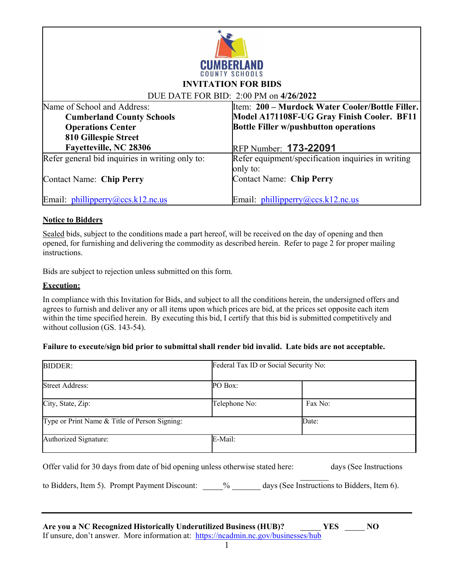

### **INVITATION FOR BIDS**

#### DUE DATE FOR BID: 2:00 PM on **4/26/2022**

| Name of School and Address:                     | Item: 200 – Murdock Water Cooler/Bottle Filler.    |
|-------------------------------------------------|----------------------------------------------------|
| <b>Cumberland County Schools</b>                | Model A171108F-UG Gray Finish Cooler. BF11         |
| <b>Operations Center</b>                        | <b>Bottle Filler w/pushbutton operations</b>       |
| 810 Gillespie Street                            |                                                    |
| Fayetteville, NC 28306                          | RFP Number: 173-22091                              |
| Refer general bid inquiries in writing only to: | Refer equipment/specification inquiries in writing |
|                                                 | only to:                                           |
| <b>Contact Name: Chip Perry</b>                 | <b>Contact Name: Chip Perry</b>                    |
|                                                 |                                                    |
| Email: $phillipperry@ccs.k12nc.us$              | Email: phillipperry@ccs.k12.nc.us                  |

#### **Notice to Bidders**

Sealed bids, subject to the conditions made a part hereof, will be received on the day of opening and then opened, for furnishing and delivering the commodity as described herein. Refer to page 2 for proper mailing instructions.

Bids are subject to rejection unless submitted on this form.

#### **Execution:**

In compliance with this Invitation for Bids, and subject to all the conditions herein, the undersigned offers and agrees to furnish and deliver any or all items upon which prices are bid, at the prices set opposite each item within the time specified herein. By executing this bid, I certify that this bid is submitted competitively and without collusion (GS. 143-54).

#### **Failure to execute/sign bid prior to submittal shall render bid invalid. Late bids are not acceptable.**

| <b>BIDDER:</b>                                                                                                                                                   | Federal Tax ID or Social Security No: |                        |
|------------------------------------------------------------------------------------------------------------------------------------------------------------------|---------------------------------------|------------------------|
| <b>Street Address:</b>                                                                                                                                           | PO Box:                               |                        |
| City, State, Zip:                                                                                                                                                | Telephone No:                         | Fax No:                |
| Type or Print Name & Title of Person Signing:                                                                                                                    |                                       | Date:                  |
| Authorized Signature:                                                                                                                                            | E-Mail:                               |                        |
| Offer valid for 30 days from date of bid opening unless otherwise stated here:                                                                                   |                                       | days (See Instructions |
| to Bidders, Item 5). Prompt Payment Discount: 9% days (See Instructions to Bidders, Item 6).                                                                     |                                       |                        |
|                                                                                                                                                                  |                                       |                        |
| Are you a NC Recognized Historically Underutilized Business (HUB)? YES NO<br>If unsure, don't answer. More information at: https://ncadmin.nc.gov/businesses/hub |                                       |                        |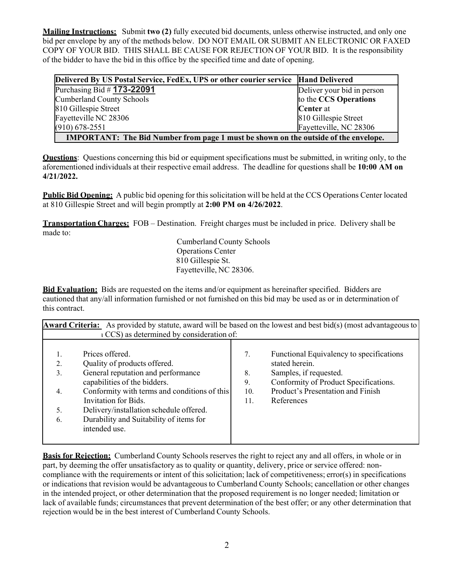**Mailing Instructions:** Submit **two (2)** fully executed bid documents, unless otherwise instructed, and only one bid per envelope by any of the methods below. DO NOT EMAIL OR SUBMIT AN ELECTRONIC OR FAXED COPY OF YOUR BID. THIS SHALL BE CAUSE FOR REJECTION OF YOUR BID. It is the responsibility of the bidder to have the bid in this office by the specified time and date of opening.

| Delivered By US Postal Service, FedEx, UPS or other courier service   Hand Delivered       |                            |  |
|--------------------------------------------------------------------------------------------|----------------------------|--|
| Purchasing Bid # 173-22091                                                                 | Deliver your bid in person |  |
| <b>Cumberland County Schools</b>                                                           | to the CCS Operations      |  |
| 810 Gillespie Street                                                                       | <b>Center</b> at           |  |
| Fayetteville NC 28306                                                                      | 810 Gillespie Street       |  |
| $(910) 678 - 2551$                                                                         | Fayetteville, NC 28306     |  |
| <b>IMPORTANT:</b> The Bid Number from page 1 must be shown on the outside of the envelope. |                            |  |

**Questions**: Questions concerning this bid or equipment specifications must be submitted, in writing only, to the aforementioned individuals at their respective email address. The deadline for questions shall be **10:00 AM on 4/21/2022.**

**Public Bid Opening:** A public bid opening for this solicitation will be held at the CCS Operations Center located at 810 Gillespie Street and will begin promptly at **2:00 PM on 4/26/2022**.

**Transportation Charges:** FOB – Destination. Freight charges must be included in price. Delivery shall be made to:

> Cumberland County Schools Operations Center 810 Gillespie St. Fayetteville, NC 28306.

**Bid Evaluation:** Bids are requested on the items and/or equipment as hereinafter specified. Bidders are cautioned that any/all information furnished or not furnished on this bid may be used as or in determination of this contract.

| <b>Award Criteria:</b> As provided by statute, award will be based on the lowest and best bid(s) (most advantageous to<br>LCCS) as determined by consideration of: |                                              |     |                                          |  |  |
|--------------------------------------------------------------------------------------------------------------------------------------------------------------------|----------------------------------------------|-----|------------------------------------------|--|--|
|                                                                                                                                                                    |                                              |     |                                          |  |  |
|                                                                                                                                                                    | Prices offered.                              | 7.  | Functional Equivalency to specifications |  |  |
| 2.                                                                                                                                                                 | Quality of products offered.                 |     | stated herein.                           |  |  |
| 3.                                                                                                                                                                 | General reputation and performance           | 8.  | Samples, if requested.                   |  |  |
|                                                                                                                                                                    | capabilities of the bidders.                 | 9.  | Conformity of Product Specifications.    |  |  |
| 4.                                                                                                                                                                 | Conformity with terms and conditions of this | 10. | Product's Presentation and Finish        |  |  |
|                                                                                                                                                                    | Invitation for Bids.                         | 11. | References                               |  |  |
| 5.                                                                                                                                                                 | Delivery/installation schedule offered.      |     |                                          |  |  |
| 6.                                                                                                                                                                 | Durability and Suitability of items for      |     |                                          |  |  |
|                                                                                                                                                                    | intended use.                                |     |                                          |  |  |
|                                                                                                                                                                    |                                              |     |                                          |  |  |

**Basis for Rejection:** Cumberland County Schools reserves the right to reject any and all offers, in whole or in part, by deeming the offer unsatisfactory as to quality or quantity, delivery, price or service offered: noncompliance with the requirements or intent of this solicitation; lack of competitiveness; error(s) in specifications or indications that revision would be advantageous to Cumberland County Schools; cancellation or other changes in the intended project, or other determination that the proposed requirement is no longer needed; limitation or lack of available funds; circumstances that prevent determination of the best offer; or any other determination that rejection would be in the best interest of Cumberland County Schools.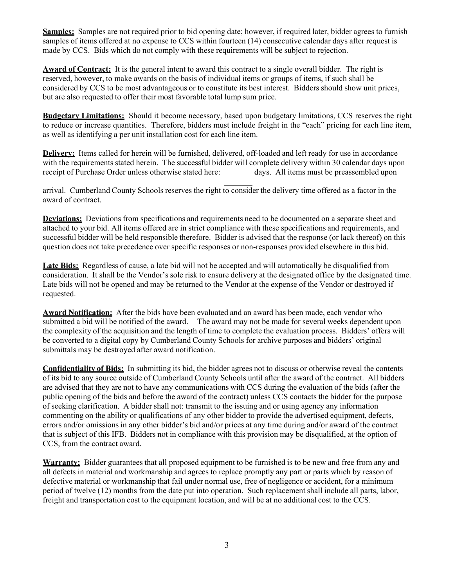**Samples:** Samples are not required prior to bid opening date; however, if required later, bidder agrees to furnish samples of items offered at no expense to CCS within fourteen (14) consecutive calendar days after request is made by CCS. Bids which do not comply with these requirements will be subject to rejection.

**Award of Contract:** It is the general intent to award this contract to a single overall bidder. The right is reserved, however, to make awards on the basis of individual items or groups of items, if such shall be considered by CCS to be most advantageous or to constitute its best interest. Bidders should show unit prices, but are also requested to offer their most favorable total lump sum price.

**Budgetary Limitations:** Should it become necessary, based upon budgetary limitations, CCS reserves the right to reduce or increase quantities. Therefore, bidders must include freight in the "each" pricing for each line item, as well as identifying a per unit installation cost for each line item.

**Delivery:** Items called for herein will be furnished, delivered, off-loaded and left ready for use in accordance with the requirements stated herein. The successful bidder will complete delivery within 30 calendar days upon receipt of Purchase Order unless otherwise stated here: days. All items must be preassembled upon

arrival. Cumberland County Schools reserves the right to consider the delivery time offered as a factor in the award of contract.

**Deviations:** Deviations from specifications and requirements need to be documented on a separate sheet and attached to your bid. All items offered are in strict compliance with these specifications and requirements, and successful bidder will be held responsible therefore. Bidder is advised that the response (or lack thereof) on this question does not take precedence over specific responses or non-responses provided elsewhere in this bid.

**Late Bids:** Regardless of cause, a late bid will not be accepted and will automatically be disqualified from consideration. It shall be the Vendor's sole risk to ensure delivery at the designated office by the designated time. Late bids will not be opened and may be returned to the Vendor at the expense of the Vendor or destroyed if requested.

**Award Notification:** After the bids have been evaluated and an award has been made, each vendor who submitted a bid will be notified of the award. The award may not be made for several weeks dependent upon the complexity of the acquisition and the length of time to complete the evaluation process. Bidders' offers will be converted to a digital copy by Cumberland County Schools for archive purposes and bidders' original submittals may be destroyed after award notification.

**Confidentiality of Bids:** In submitting its bid, the bidder agrees not to discuss or otherwise reveal the contents of its bid to any source outside of Cumberland County Schools until after the award of the contract. All bidders are advised that they are not to have any communications with CCS during the evaluation of the bids (after the public opening of the bids and before the award of the contract) unless CCS contacts the bidder for the purpose of seeking clarification. A bidder shall not: transmit to the issuing and or using agency any information commenting on the ability or qualifications of any other bidder to provide the advertised equipment, defects, errors and/or omissions in any other bidder's bid and/or prices at any time during and/or award of the contract that is subject of this IFB. Bidders not in compliance with this provision may be disqualified, at the option of CCS, from the contract award.

**Warranty:** Bidder guarantees that all proposed equipment to be furnished is to be new and free from any and all defects in material and workmanship and agrees to replace promptly any part or parts which by reason of defective material or workmanship that fail under normal use, free of negligence or accident, for a minimum period of twelve (12) months from the date put into operation. Such replacement shall include all parts, labor, freight and transportation cost to the equipment location, and will be at no additional cost to the CCS.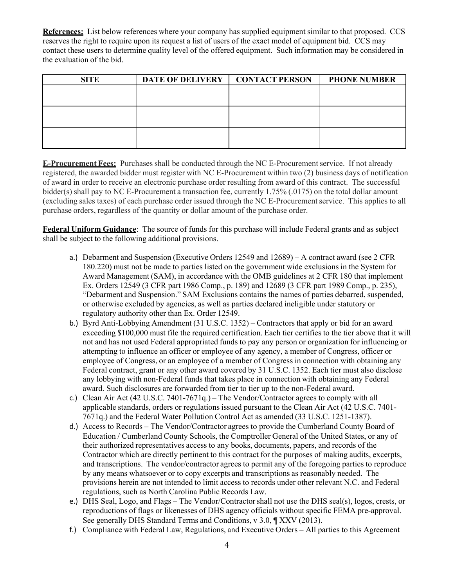**References:** List below references where your company has supplied equipment similar to that proposed. CCS reserves the right to require upon its request a list of users of the exact model of equipment bid. CCS may contact these users to determine quality level of the offered equipment. Such information may be considered in the evaluation of the bid.

| <b>SITE</b> | DATE OF DELIVERY   CONTACT PERSON | <b>PHONE NUMBER</b> |
|-------------|-----------------------------------|---------------------|
|             |                                   |                     |
|             |                                   |                     |
|             |                                   |                     |
|             |                                   |                     |
|             |                                   |                     |
|             |                                   |                     |

**E-Procurement Fees:** Purchases shall be conducted through the NC E-Procurement service. If not already registered, the awarded bidder must register with NC E-Procurement within two (2) business days of notification of award in order to receive an electronic purchase order resulting from award of this contract. The successful bidder(s) shall pay to NC E-Procurement a transaction fee, currently 1.75% (.0175) on the total dollar amount (excluding sales taxes) of each purchase order issued through the NC E-Procurement service. This applies to all purchase orders, regardless of the quantity or dollar amount of the purchase order.

**Federal Uniform Guidance**: The source of funds for this purchase will include Federal grants and as subject shall be subject to the following additional provisions.

- a.) Debarment and Suspension (Executive Orders 12549 and 12689) A contract award (see 2 CFR 180.220) must not be made to parties listed on the government wide exclusions in the System for Award Management (SAM), in accordance with the OMB guidelines at 2 CFR 180 that implement Ex. Orders 12549 (3 CFR part 1986 Comp., p. 189) and 12689 (3 CFR part 1989 Comp., p. 235), "Debarment and Suspension." SAM Exclusions contains the names of parties debarred, suspended, or otherwise excluded by agencies, as well as parties declared ineligible under statutory or regulatory authority other than Ex. Order 12549.
- b.) Byrd Anti-Lobbying Amendment (31 U.S.C. 1352) Contractors that apply or bid for an award exceeding \$100,000 must file the required certification. Each tier certifies to the tier above that it will not and has not used Federal appropriated funds to pay any person or organization for influencing or attempting to influence an officer or employee of any agency, a member of Congress, officer or employee of Congress, or an employee of a member of Congress in connection with obtaining any Federal contract, grant or any other award covered by 31 U.S.C. 1352. Each tier must also disclose any lobbying with non-Federal funds that takes place in connection with obtaining any Federal award. Such disclosures are forwarded from tier to tier up to the non-Federal award.
- c.) Clean Air Act (42 U.S.C. 7401-7671q.) The Vendor/Contractor agrees to comply with all applicable standards, orders or regulations issued pursuant to the Clean Air Act (42 U.S.C. 7401- 7671q.) and the Federal Water Pollution Control Act as amended (33 U.S.C. 1251-1387).
- d.) Access to Records The Vendor/Contractor agrees to provide the Cumberland County Board of Education / Cumberland County Schools, the Comptroller General of the United States, or any of their authorized representatives access to any books, documents, papers, and records of the Contractor which are directly pertinent to this contract for the purposes of making audits, excerpts, and transcriptions. The vendor/contractor agrees to permit any of the foregoing parties to reproduce by any means whatsoever or to copy excerpts and transcriptions as reasonably needed. The provisions herein are not intended to limit access to records under other relevant N.C. and Federal regulations, such as North Carolina Public Records Law.
- e.) DHS Seal, Logo, and Flags The Vendor/Contractor shall not use the DHS seal(s), logos, crests, or reproductions of flags or likenesses of DHS agency officials without specific FEMA pre-approval. See generally DHS Standard Terms and Conditions, v 3.0, ¶ XXV (2013).
- f.) Compliance with Federal Law, Regulations, and Executive Orders All parties to this Agreement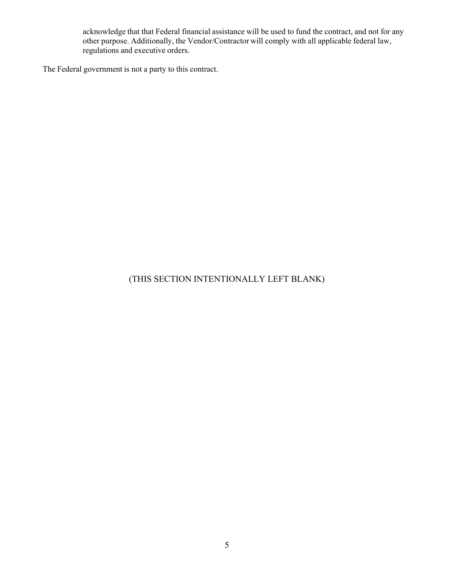acknowledge that that Federal financial assistance will be used to fund the contract, and not for any other purpose. Additionally, the Vendor/Contractor will comply with all applicable federal law, regulations and executive orders.

The Federal government is not a party to this contract.

# (THIS SECTION INTENTIONALLY LEFT BLANK)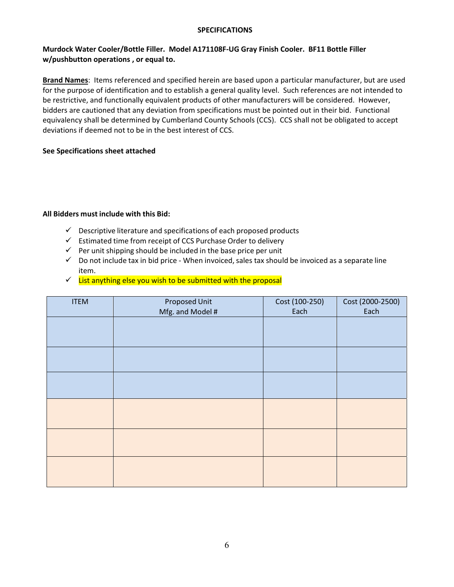#### **SPECIFICATIONS**

#### **Murdock Water Cooler/Bottle Filler. Model A171108F‐UG Gray Finish Cooler. BF11 Bottle Filler w/pushbutton operations , or equal to.**

**Brand Names**: Items referenced and specified herein are based upon a particular manufacturer, but are used for the purpose of identification and to establish a general quality level. Such references are not intended to be restrictive, and functionally equivalent products of other manufacturers will be considered. However, bidders are cautioned that any deviation from specifications must be pointed out in their bid. Functional equivalency shall be determined by Cumberland County Schools (CCS). CCS shall not be obligated to accept deviations if deemed not to be in the best interest of CCS.

#### **See Specifications sheet attached**

#### **All Bidders must include with this Bid:**

- $\checkmark$  Descriptive literature and specifications of each proposed products
- $\checkmark$  Estimated time from receipt of CCS Purchase Order to delivery
- $\checkmark$  Per unit shipping should be included in the base price per unit
- $\checkmark$  Do not include tax in bid price When invoiced, sales tax should be invoiced as a separate line item.
- $\checkmark$  List anything else you wish to be submitted with the proposal

| <b>ITEM</b> | Proposed Unit<br>Mfg. and Model # | Cost (100-250)<br>Each | Cost (2000-2500)<br>Each |
|-------------|-----------------------------------|------------------------|--------------------------|
|             |                                   |                        |                          |
|             |                                   |                        |                          |
|             |                                   |                        |                          |
|             |                                   |                        |                          |
|             |                                   |                        |                          |
|             |                                   |                        |                          |
|             |                                   |                        |                          |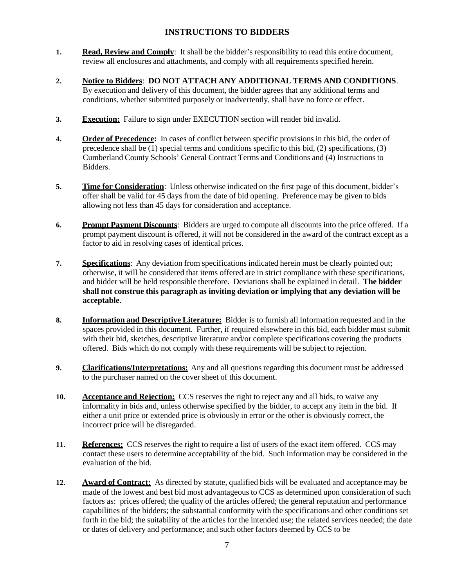# **INSTRUCTIONS TO BIDDERS**

- **1. Read, Review and Comply**: It shall be the bidder's responsibility to read this entire document, review all enclosures and attachments, and comply with all requirements specified herein.
- **2. Notice to Bidders**: **DO NOT ATTACH ANY ADDITIONAL TERMS AND CONDITIONS**. By execution and delivery of this document, the bidder agrees that any additional terms and conditions, whether submitted purposely or inadvertently, shall have no force or effect.
- **3. Execution:** Failure to sign under EXECUTION section will render bid invalid.
- **4. Order of Precedence:** In cases of conflict between specific provisions in this bid, the order of precedence shall be  $(1)$  special terms and conditions specific to this bid,  $(2)$  specifications,  $(3)$ Cumberland County Schools' General Contract Terms and Conditions and (4) Instructions to Bidders.
- **5. Time for Consideration**: Unless otherwise indicated on the first page of this document, bidder's offer shall be valid for 45 days from the date of bid opening. Preference may be given to bids allowing not less than 45 days for consideration and acceptance.
- **6. Prompt Payment Discounts**: Bidders are urged to compute all discounts into the price offered. If a prompt payment discount is offered, it will not be considered in the award of the contract except as a factor to aid in resolving cases of identical prices.
- **7. Specifications**: Any deviation from specifications indicated herein must be clearly pointed out; otherwise, it will be considered that items offered are in strict compliance with these specifications, and bidder will be held responsible therefore. Deviations shall be explained in detail. **The bidder shall not construe this paragraph as inviting deviation or implying that any deviation will be acceptable.**
- **8. Information and Descriptive Literature:** Bidder is to furnish all information requested and in the spaces provided in this document. Further, if required elsewhere in this bid, each bidder must submit with their bid, sketches, descriptive literature and/or complete specifications covering the products offered. Bids which do not comply with these requirements will be subject to rejection.
- **9. Clarifications/Interpretations:** Any and all questions regarding this document must be addressed to the purchaser named on the cover sheet of this document.
- **10. Acceptance and Rejection:** CCS reserves the right to reject any and all bids, to waive any informality in bids and, unless otherwise specified by the bidder, to accept any item in the bid. If either a unit price or extended price is obviously in error or the other is obviously correct, the incorrect price will be disregarded.
- **11. References:** CCS reserves the right to require a list of users of the exact item offered. CCS may contact these users to determine acceptability of the bid. Such information may be considered in the evaluation of the bid.
- **12. Award of Contract:** As directed by statute, qualified bids will be evaluated and acceptance may be made of the lowest and best bid most advantageousto CCS as determined upon consideration of such factors as: prices offered; the quality of the articles offered; the general reputation and performance capabilities of the bidders; the substantial conformity with the specifications and other conditions set forth in the bid; the suitability of the articles for the intended use; the related services needed; the date or dates of delivery and performance; and such other factors deemed by CCS to be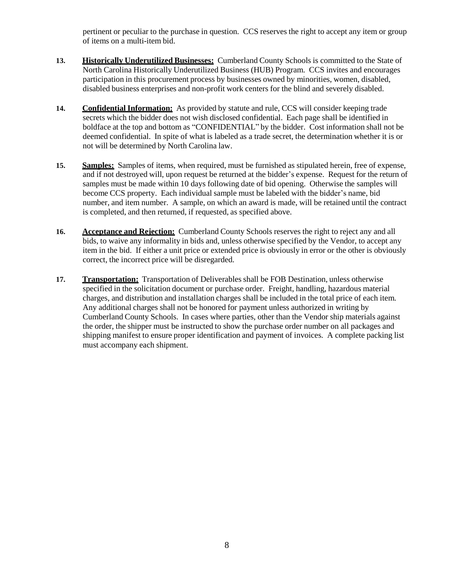pertinent or peculiar to the purchase in question. CCS reserves the right to accept any item or group of items on a multi-item bid.

- **13. Historically Underutilized Businesses:** Cumberland County Schools is committed to the State of North Carolina Historically Underutilized Business (HUB) Program. CCS invites and encourages participation in this procurement process by businesses owned by minorities, women, disabled, disabled business enterprises and non-profit work centers for the blind and severely disabled.
- **14. Confidential Information:** As provided by statute and rule, CCS will consider keeping trade secrets which the bidder does not wish disclosed confidential. Each page shall be identified in boldface at the top and bottom as "CONFIDENTIAL" by the bidder. Cost information shall not be deemed confidential. In spite of what is labeled as a trade secret, the determination whether it is or not will be determined by North Carolina law.
- 15. **Samples:** Samples of items, when required, must be furnished as stipulated herein, free of expense, and if not destroyed will, upon request be returned at the bidder's expense. Request for the return of samples must be made within 10 days following date of bid opening. Otherwise the samples will become CCS property. Each individual sample must be labeled with the bidder's name, bid number, and item number. A sample, on which an award is made, will be retained until the contract is completed, and then returned, if requested, as specified above.
- **16. Acceptance and Rejection:** Cumberland County Schools reserves the right to reject any and all bids, to waive any informality in bids and, unless otherwise specified by the Vendor, to accept any item in the bid. If either a unit price or extended price is obviously in error or the other is obviously correct, the incorrect price will be disregarded.
- **17. Transportation:** Transportation of Deliverables shall be FOB Destination, unless otherwise specified in the solicitation document or purchase order. Freight, handling, hazardous material charges, and distribution and installation charges shall be included in the total price of each item. Any additional charges shall not be honored for payment unless authorized in writing by Cumberland County Schools. In cases where parties, other than the Vendor ship materials against the order, the shipper must be instructed to show the purchase order number on all packages and shipping manifest to ensure proper identification and payment of invoices. A complete packing list must accompany each shipment.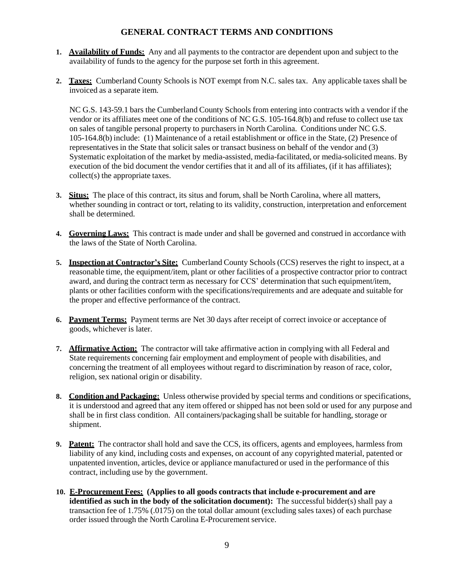## **GENERAL CONTRACT TERMS AND CONDITIONS**

- **1. Availability of Funds:** Any and all payments to the contractor are dependent upon and subject to the availability of funds to the agency for the purpose set forth in this agreement.
- **2. Taxes:** Cumberland County Schools is NOT exempt from N.C. sales tax. Any applicable taxes shall be invoiced as a separate item.

NC G.S. 143-59.1 bars the Cumberland County Schools from entering into contracts with a vendor if the vendor or its affiliates meet one of the conditions of NC G.S. 105-164.8(b) and refuse to collect use tax on sales of tangible personal property to purchasers in North Carolina. Conditions under NC G.S. 105-164.8(b) include: (1) Maintenance of a retail establishment or office in the State, (2) Presence of representatives in the State that solicit sales or transact business on behalf of the vendor and (3) Systematic exploitation of the market by media-assisted, media-facilitated, or media-solicited means. By execution of the bid document the vendor certifies that it and all of its affiliates, (if it has affiliates); collect(s) the appropriate taxes.

- **3. Situs:** The place of this contract, its situs and forum, shall be North Carolina, where all matters, whether sounding in contract or tort, relating to its validity, construction, interpretation and enforcement shall be determined.
- **4. Governing Laws:** This contract is made under and shall be governed and construed in accordance with the laws of the State of North Carolina.
- **5. Inspection at Contractor's Site:** Cumberland County Schools (CCS) reserves the right to inspect, at a reasonable time, the equipment/item, plant or other facilities of a prospective contractor prior to contract award, and during the contract term as necessary for CCS' determination that such equipment/item, plants or other facilities conform with the specifications/requirements and are adequate and suitable for the proper and effective performance of the contract.
- **6. Payment Terms:** Payment terms are Net 30 days after receipt of correct invoice or acceptance of goods, whichever is later.
- **7. Affirmative Action:** The contractor will take affirmative action in complying with all Federal and State requirements concerning fair employment and employment of people with disabilities, and concerning the treatment of all employees without regard to discrimination by reason of race, color, religion, sex national origin or disability.
- **8. Condition and Packaging:** Unless otherwise provided by special terms and conditions or specifications, it is understood and agreed that any item offered or shipped has not been sold or used for any purpose and shall be in first class condition. All containers/packaging shall be suitable for handling, storage or shipment.
- **9. Patent:** The contractor shall hold and save the CCS, its officers, agents and employees, harmless from liability of any kind, including costs and expenses, on account of any copyrighted material, patented or unpatented invention, articles, device or appliance manufactured or used in the performance of this contract, including use by the government.
- **10. E-Procurement Fees: (Applies to all goods contracts that include e-procurement and are identified as such in the body of the solicitation document):** The successful bidder(s) shall pay a transaction fee of 1.75% (.0175) on the total dollar amount (excluding sales taxes) of each purchase order issued through the North Carolina E-Procurement service.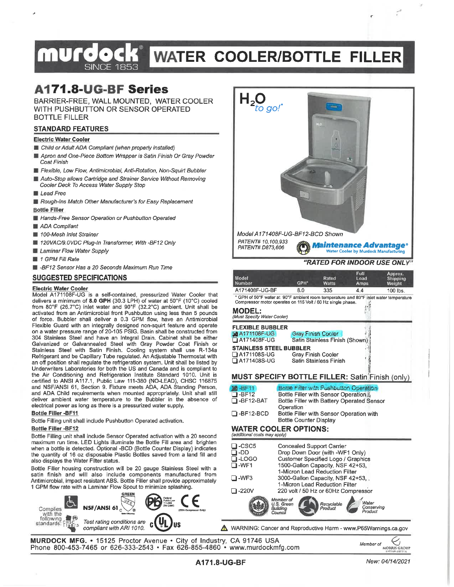# **WATER COOLER/BOTTLE FILLER SINCE 1853**

 $H_{2Q}$ 

PATENT# D873.606

# **A171.8-UG-BF Series**

BARRIER-FREE, WALL MOUNTED. WATER COOLER WITH PUSHBUTTON OR SENSOR OPERATED **BOTTLE FILLER** 

#### **STANDARD FEATURES**

#### **Electric Water Cooler**

- Child or Adult ADA Compliant (when properly installed)
- Apron and One-Piece Bottom Wrapper is Satin Finish Or Gray Powder Coat Finish
- Flexible, Low Flow, Antimicrobial, Anti-Rotation, Non-Squirt Bubbler
- Auto-Stop allows Cartridge and Strainer Service Without Removing Cooler Deck To Access Water Supply Stop
- Lead Free
- Rough-Ins Match Other Manufacturer's for Easy Replacement **Bottle Filler**
- Hands-Free Sensor Operation or Pushbutton Operated
- ADA Compliant
- 100-Mesh Inlet Strainer
- 120VAC/9.0VDC Plug-In Transformer, With -BF12 Only
- Laminar Flow Water Supply
- $\blacksquare$  1 GPM Fill Rate
- B -BF12 Sensor Has a 20 Seconds Maximum Run Time

#### **SUGGESTED SPECIFICATIONS**

#### **Electric Water Cooler**

Model A171108F-UG is a self-contained, pressurized Water Cooler that delivers a minimum of 8.0 GPH (30.3 LPH) of water at 50°F (10°C) cooled from 80°F (26.7°C) inlet water and 90°F (32.2°C) ambient. Unit shall be activated from an Antimicrobial front Pushbutton using less than 5 pounds of force. Bubbler shall deliver a 0.3 GPM flow, have an Antimicrobial Flexible Guard with an integrally designed non-squirt feature and operate on a water pressure range of 20-105 PSIG. Basin shall be constructed from 304 Stainless Steel and have an Integral Drain. Cabinet shall be either Galvanized or Galvannealed Steel with Gray Powder Coat Finish or Stainless Steel with Satin Finish. Cooling system shall use R-134a Refrigerant and be Capillary Tube regulated. An Adjustable Thermostat with an off position shall regulate the refrigeration system. Unit shall be listed by Underwriters Laboratories for both the US and Canada and is compliant to the Air Conditioning and Refrigeration Institute Standard 1010. Unit is certified to ANSI A117.1, Public Law 111-380 (NO-LEAD), CHSC 116875 and NSF/ANSI 61, Section 9. Fixture meets ADA, ADA Standing Person, and ADA Child requirements when mounted appropriately. Unit shall still deliver ambient water temperature to the Bubbler in the absence of electrical power as long as there is a pressurized water supply.

#### Bottle Filler - BF11

Bottle Filling unit shall include Pushbutton Operated activation.

#### **Bottle Filler -BF12**

Bottle Filling unit shall include Sensor Operated activation with a 20 second maximum run time. LED Lights illuminate the Bottle Fill area and brighten when a bottle is detected. Optional -BCD (Bottle Counter Display) indicates the quantity of 16 oz disposable Plastic Bottles saved from a land fill and also displays the Water Filter status.

Bottle Filler housing construction will be 20 gauge Stainless Steel with a satin finish and will also include components manufactured from Antimicrobial, impact resistant ABS. Bottle Filler shall provide approximately 1 GPM flow rate with a Laminar Flow Spout to minimize splashing.







MURDOCK MFG. • 15125 Proctor Avenue • City of Industry, CA 91746 USA<br>Phone 800-453-7465 or 626-333-2543 • Fax 626-855-4860 • www.murdockmfg.com



New: 04/14/2021



Model A171408F-UG-BF12-BCD Shown PATENT# 10.100.933

Maintenance Advantage® Water Cooler by Murdock Manufacturing

#### "RATED FOR INDOOR USE ONLY"

| Model<br>Number                                                                       | GPH* | Rated<br>Watts | Full<br>Load<br>Amps: | Approx.<br>Shipping<br>Weight |
|---------------------------------------------------------------------------------------|------|----------------|-----------------------|-------------------------------|
| A171408F-UG-BF                                                                        | 8.0  | 335            | 4.4                   | $100$ lbs.                    |
| * GPH of 50°F water at 90°F ambient room temperature and 80°F inlet water temperature |      |                |                       |                               |

Compressor motor operates on 115 Volt / 60 Hz single phase. ı. MODEL-

| Must Specify Water Cooler) |                                |
|----------------------------|--------------------------------|
| FLEXIBLE BUBBLER           |                                |
| A4171108F-UG               | <b>Gray Finish Cooler</b>      |
| A171408F-UG                | Satin Stainless Finish (Shown) |
| STAINLESS STEEL BUBBLER    |                                |
| <b>_] A171108S-UG</b>      | <b>Gray Finish Cooler</b>      |
| A171408S-UG                | Satin Stainless Finish         |

#### MUST SPECIFY BOTTLE FILLER: Satin Finish (only)

Bottle Filler with Pushbutton Operation Bottle Filler with Sensor Operation it Bottle Filler with Battery Operated Sensor Bottle Filler with Sensor Operation with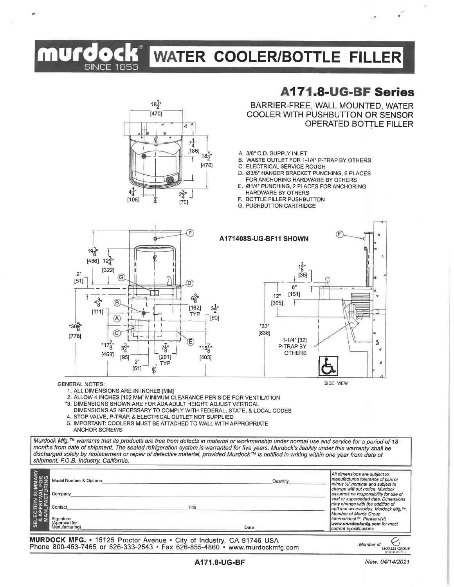# **WATER COOLER/BOTTLE FILLER**

# **A171.8-UG-BF Series**

BARRIER-FREE, WALL MOUNTED, WATER COOLER WITH PUSHBUTTON OR SENSOR **OPERATED BOTTLE FILLER** 

- A. 3/8" O.D. SUPPLY INLET
- B. WASTE OUTLET FOR 1-1/4" P-TRAP BY OTHERS
- C. ELECTRICAL SERVICE ROUGH
- D. Ø3/8" HANGER BRACKET PUNCHING, 6 PLACES FOR ANCHORING HARDWARE BY OTHERS
- E. Ø1/4" PUNCHING, 2 PLACES FOR ANCHORING
- **HARDWARE BY OTHERS** F. BOTTLE FILLER PUSHBUTTON
- G. PUSHBUTTON CARTRIDGE





**SINCE 1853** 

 $18\frac{1}{2}$ 

 $[470]$ 

¢

 $4\frac{1}{4}$ 

 $[108]$ 

 $\overline{\mathbf{A}}$ 

 $2\frac{3}{4}$ "

 $\overline{1701}$ 

 $7\frac{1}{4}$ "  $[186]$ 

 $18\frac{1}{2}$ Ŧ

 $[470]$ 

- 1. ALL DIMENSIONS ARE IN INCHES [MM]
- 2. ALLOW 4 INCHES [102 MM] MINIMUM CLEARANCE PER SIDE FOR VENTILATION
- \*3. DIMENSIONS SHOWN ARE FOR ADA ADULT HEIGHT. ADJUST VERTICAL
- DIMENSIONS AS NECESSARY TO COMPLY WITH FEDERAL, STATE, & LOCAL CODES 4. STOP VALVE, P-TRAP, & ELECTRICAL OUTLET NOT SUPPLIED
- 5. IMPORTANT: COOLERS MUST BE ATTACHED TO WALL WITH APPROPRIATE
	- ANCHOR SCREWS

Murdock Mfg.™ warrants that its products are free from defects in material or workmanship under normal use and service for a period of 18 manths from date of shipment. The sealed refrigeration system is warranted for five years. Murdock's liability under this warranty shall be discharged solely by replacement or repair of defective material, provided Murdock<sup>TM</sup> is notified in writing within one year from date of shipment, F.O.B. Industry, California.

| <b>CTION SUMMARY<br/>PPROVAL FOR<br/>NUFACTURING</b> | Model Number & Options<br>Company                       | Quantity      | All dimensions are subject to<br>manufactures tolerance of plus or<br>I minus 1/2" nominal and subject to<br>change without notice. Murdock<br>assumes no responsibility for use of                                                |
|------------------------------------------------------|---------------------------------------------------------|---------------|------------------------------------------------------------------------------------------------------------------------------------------------------------------------------------------------------------------------------------|
| ੁਰੰਵੇਤੀ<br>品 35                                      | Contact<br>Sígnature<br>(Approval for<br>Manufacturing) | Title<br>Date | void or superseded data. Dimensions<br>may change with the addition of<br>optional accessories. Murdock Mfg.™.<br>Member of Morris Group<br>International™. Please visit<br>www.murdockmfg.com for most<br>current specifications. |

MURDOCK MFG. • 15125 Proctor Avenue • City of Industry, CA 91746 USA<br>Phone 800-453-7465 or 626-333-2543 • Fax 626-855-4860 • www.murdockmfg.com

Member of **MORRIS GROUP** 

 $\mathbf{A}$ 

d

#### A171.8-UG-BF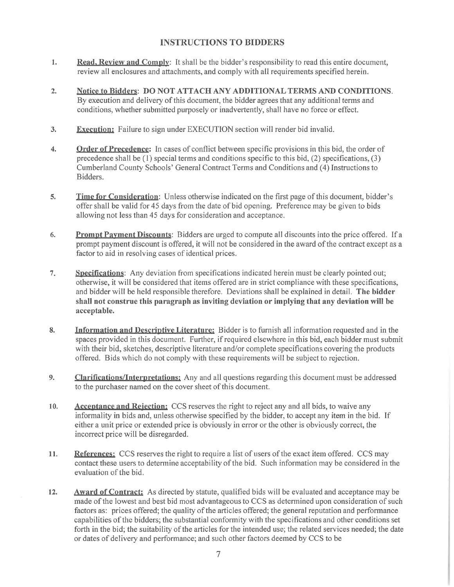## **INSTRUCTIONS TO BIDDERS**

- $\mathbf{I}$ . Read, Review and Comply: It shall be the bidder's responsibility to read this entire document, review all enclosures and attachments, and comply with all requirements specified herein.
- Notice to Bidders: DO NOT ATTACH ANY ADDITIONAL TERMS AND CONDITIONS.  $2.$  $\overline{B}v$  execution and delivery of this document, the bidder agrees that any additional terms and conditions, whether submitted purposely or inadvertently, shall have no force or effect.
- **Execution:** Failure to sign under EXECUTION section will render bid invalid. 3.
- **Order of Precedence:** In cases of conflict between specific provisions in this bid, the order of  $\overline{4}$ . precedence shall be  $(1)$  special terms and conditions specific to this bid,  $(2)$  specifications,  $(3)$ Cumberland County Schools' General Contract Terms and Conditions and (4) Instructions to Bidders.
- $\overline{5}$ . **Time for Consideration:** Unless otherwise indicated on the first page of this document, bidder's offer shall be valid for 45 days from the date of bid opening. Preference may be given to bids allowing not less than 45 days for consideration and acceptance.
- **Prompt Payment Discounts:** Bidders are urged to compute all discounts into the price offered. If a 6. prompt payment discount is offered, it will not be considered in the award of the contract except as a factor to aid in resolving cases of identical prices.
- $7.$ Specifications: Any deviation from specifications indicated herein must be clearly pointed out; otherwise, it will be considered that items offered are in strict compliance with these specifications, and bidder will be held responsible therefore. Deviations shall be explained in detail. The bidder shall not construe this paragraph as inviting deviation or implying that any deviation will be acceptable.
- Information and Descriptive Literature: Bidder is to furnish all information requested and in the 8. spaces provided in this document. Further, if required elsewhere in this bid, each bidder must submit with their bid, sketches, descriptive literature and/or complete specifications covering the products offered. Bids which do not comply with these requirements will be subject to rejection.
- **Clarifications/Interpretations:** Any and all questions regarding this document must be addressed 9. to the purchaser named on the cover sheet of this document.
- Acceptance and Rejection: CCS reserves the right to reject any and all bids, to waive any  $10.$ informality in bids and, unless otherwise specified by the bidder, to accept any item in the bid. If either a unit price or extended price is obviously in error or the other is obviously correct, the incorrect price will be disregarded.
- References: CCS reserves the right to require a list of users of the exact item offered. CCS may 11. contact these users to determine acceptability of the bid. Such information may be considered in the evaluation of the bid.
- $12.$ **Award of Contract:** As directed by statute, qualified bids will be evaluated and acceptance may be made of the lowest and best bid most advantageous to CCS as determined upon consideration of such factors as: prices offered; the quality of the articles offered; the general reputation and performance capabilities of the bidders; the substantial conformity with the specifications and other conditions set forth in the bid; the suitability of the articles for the intended use; the related services needed; the date or dates of delivery and performance; and such other factors deemed by CCS to be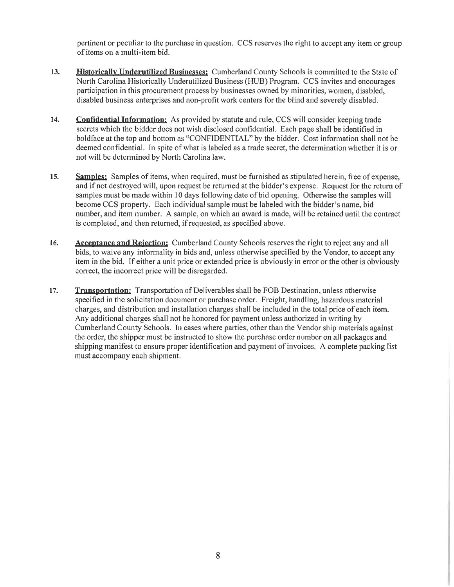pertinent or peculiar to the purchase in question. CCS reserves the right to accept any item or group of items on a multi-item bid.

- 13. **Historically Underutilized Businesses:** Cumberland County Schools is committed to the State of North Carolina Historically Underutilized Business (HUB) Program. CCS invites and encourages participation in this procurement process by businesses owned by minorities, women, disabled, disabled business enterprises and non-profit work centers for the blind and severely disabled.
- 14. **Confidential Information:** As provided by statute and rule, CCS will consider keeping trade secrets which the bidder does not wish disclosed confidential. Each page shall be identified in boldface at the top and bottom as "CONFIDENTIAL" by the bidder. Cost information shall not be deemed confidential. In spite of what is labeled as a trade secret, the determination whether it is or not will be determined by North Carolina law.
- Samples: Samples of items, when required, must be furnished as stipulated herein, free of expense,  $15.$ and if not destroved will, upon request be returned at the bidder's expense. Request for the return of samples must be made within 10 days following date of bid opening. Otherwise the samples will become CCS property. Each individual sample must be labeled with the bidder's name, bid number, and item number. A sample, on which an award is made, will be retained until the contract is completed, and then returned, if requested, as specified above.
- **Acceptance and Rejection:** Cumberland County Schools reserves the right to reject any and all 16. bids, to waive any informality in bids and, unless otherwise specified by the Vendor, to accept any item in the bid. If either a unit price or extended price is obviously in error or the other is obviously correct, the incorrect price will be disregarded.
- 17. **Transportation:** Transportation of Deliverables shall be FOB Destination, unless otherwise specified in the solicitation document or purchase order. Freight, handling, hazardous material charges, and distribution and installation charges shall be included in the total price of each item. Any additional charges shall not be honored for payment unless authorized in writing by Cumberland County Schools. In cases where parties, other than the Vendor ship materials against the order, the shipper must be instructed to show the purchase order number on all packages and shipping manifest to ensure proper identification and payment of invoices. A complete packing list must accompany each shipment.